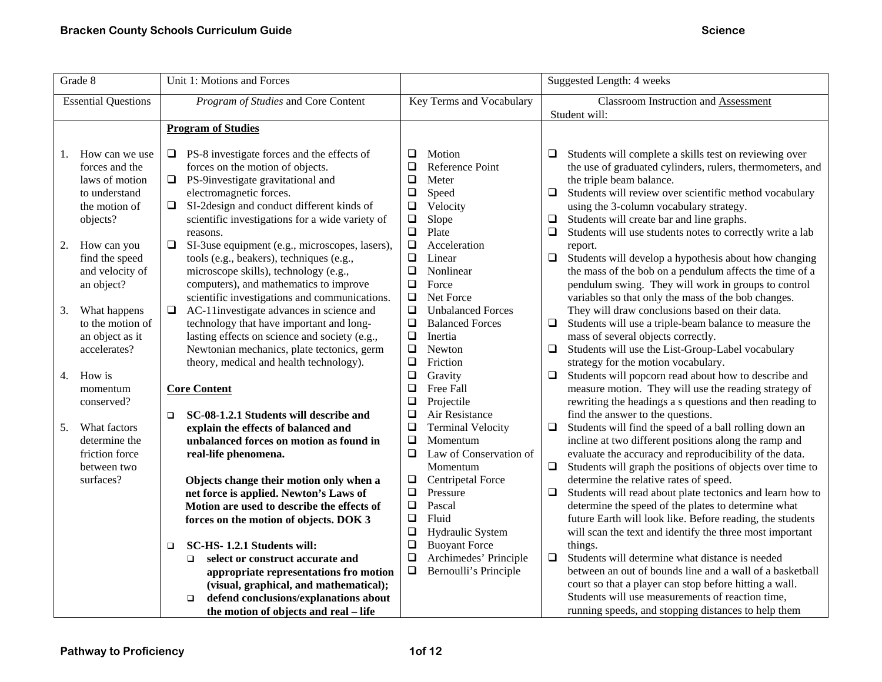| Grade 8                    | Unit 1: Motions and Forces                               |                                    | Suggested Length: 4 weeks                                           |
|----------------------------|----------------------------------------------------------|------------------------------------|---------------------------------------------------------------------|
| <b>Essential Questions</b> | Program of Studies and Core Content                      | Key Terms and Vocabulary           | <b>Classroom Instruction and Assessment</b>                         |
|                            |                                                          |                                    | Student will:                                                       |
|                            | <b>Program of Studies</b>                                |                                    |                                                                     |
| How can we use<br>1.       | PS-8 investigate forces and the effects of<br>❏          | $\Box$<br>Motion                   | Students will complete a skills test on reviewing over<br>□         |
| forces and the             | forces on the motion of objects.                         | Reference Point<br>❏               | the use of graduated cylinders, rulers, thermometers, and           |
| laws of motion             | PS-9investigate gravitational and<br>❏                   | $\Box$<br>Meter                    | the triple beam balance.                                            |
| to understand              | electromagnetic forces.                                  | $\Box$<br>Speed                    | $\Box$<br>Students will review over scientific method vocabulary    |
| the motion of              | SI-2design and conduct different kinds of<br>$\Box$      | Velocity<br>$\Box$                 | using the 3-column vocabulary strategy.                             |
| objects?                   | scientific investigations for a wide variety of          | $\Box$<br>Slope                    | $\Box$<br>Students will create bar and line graphs.                 |
|                            | reasons.                                                 | $\Box$<br>Plate                    | $\Box$<br>Students will use students notes to correctly write a lab |
| How can you<br>2.          | SI-3use equipment (e.g., microscopes, lasers),<br>$\Box$ | $\Box$<br>Acceleration             | report.                                                             |
| find the speed             | tools (e.g., beakers), techniques (e.g.,                 | $\Box$<br>Linear                   | $\Box$<br>Students will develop a hypothesis about how changing     |
| and velocity of            | microscope skills), technology (e.g.,                    | $\Box$<br>Nonlinear                | the mass of the bob on a pendulum affects the time of a             |
| an object?                 | computers), and mathematics to improve                   | $\Box$<br>Force                    | pendulum swing. They will work in groups to control                 |
|                            | scientific investigations and communications.            | $\Box$<br>Net Force                | variables so that only the mass of the bob changes.                 |
| What happens<br>3.         | AC-11investigate advances in science and<br>$\Box$       | $\Box$<br><b>Unbalanced Forces</b> | They will draw conclusions based on their data.                     |
| to the motion of           | technology that have important and long-                 | $\Box$<br><b>Balanced Forces</b>   | Students will use a triple-beam balance to measure the<br>$\Box$    |
| an object as it            | lasting effects on science and society (e.g.,            | $\Box$<br>Inertia                  | mass of several objects correctly.                                  |
| accelerates?               | Newtonian mechanics, plate tectonics, germ               | $\Box$<br>Newton                   | Students will use the List-Group-Label vocabulary<br>$\Box$         |
|                            | theory, medical and health technology).                  | Friction<br>❏                      | strategy for the motion vocabulary.                                 |
| 4.<br>How is               |                                                          | $\Box$<br>Gravity                  | $\Box$<br>Students will popcorn read about how to describe and      |
| momentum                   | <b>Core Content</b>                                      | $\Box$<br>Free Fall                | measure motion. They will use the reading strategy of               |
| conserved?                 |                                                          | $\Box$<br>Projectile               | rewriting the headings a s questions and then reading to            |
|                            | SC-08-1.2.1 Students will describe and<br>$\Box$         | ❏<br>Air Resistance                | find the answer to the questions.                                   |
| What factors<br>5.         | explain the effects of balanced and                      | $\Box$<br><b>Terminal Velocity</b> | Students will find the speed of a ball rolling down an<br>$\Box$    |
| determine the              | unbalanced forces on motion as found in                  | $\Box$<br>Momentum                 | incline at two different positions along the ramp and               |
| friction force             | real-life phenomena.                                     | $\Box$<br>Law of Conservation of   | evaluate the accuracy and reproducibility of the data.              |
| between two                |                                                          | Momentum                           | Students will graph the positions of objects over time to<br>$\Box$ |
| surfaces?                  | Objects change their motion only when a                  | <b>Centripetal Force</b><br>$\Box$ | determine the relative rates of speed.                              |
|                            | net force is applied. Newton's Laws of                   | $\Box$<br>Pressure                 | $\Box$<br>Students will read about plate tectonics and learn how to |
|                            | Motion are used to describe the effects of               | $\Box$<br>Pascal                   | determine the speed of the plates to determine what                 |
|                            | forces on the motion of objects. DOK 3                   | $\Box$<br>Fluid                    | future Earth will look like. Before reading, the students           |
|                            |                                                          | $\Box$<br>Hydraulic System         | will scan the text and identify the three most important            |
|                            | SC-HS-1.2.1 Students will:<br>$\Box$                     | $\Box$<br><b>Buoyant Force</b>     | things.                                                             |
|                            | select or construct accurate and<br>$\Box$               | $\Box$<br>Archimedes' Principle    | $\Box$<br>Students will determine what distance is needed           |
|                            | appropriate representations fro motion                   | $\Box$<br>Bernoulli's Principle    | between an out of bounds line and a wall of a basketball            |
|                            | (visual, graphical, and mathematical);                   |                                    | court so that a player can stop before hitting a wall.              |
|                            | defend conclusions/explanations about<br>$\Box$          |                                    | Students will use measurements of reaction time,                    |
|                            | the motion of objects and real - life                    |                                    | running speeds, and stopping distances to help them                 |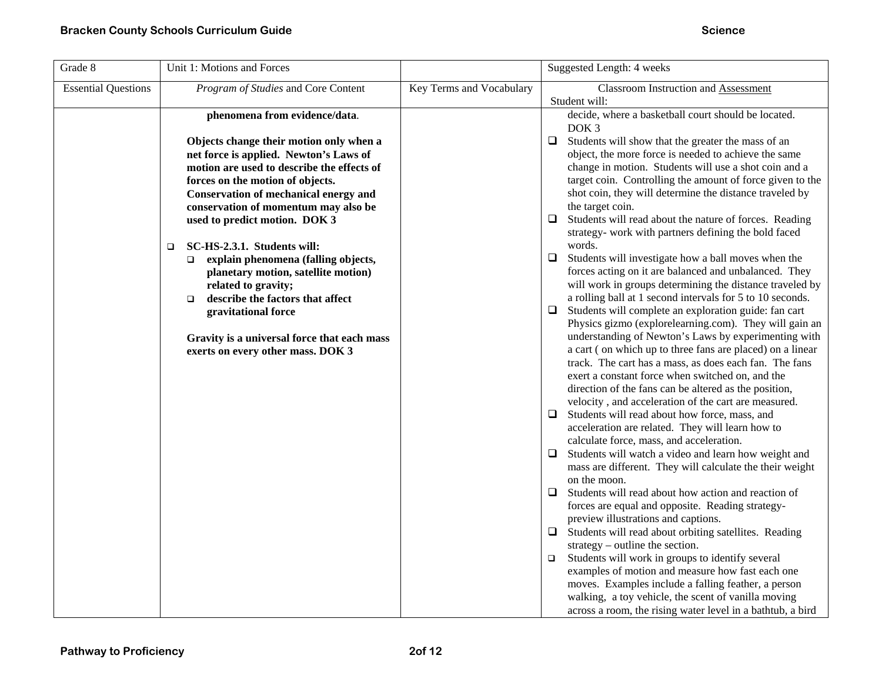| Suggested Length: 4 weeks                                                                                                                                                                                                                                                                                                                                                                                                                                                                                                                                                                                                                                                                                                                                                                                                                                                                                                                                                                                                                                                                                                                                                                                                                                                                                                                                                                                                                                                                                                                                                                                                                                                                                                                                                                                                                                                                                                                                                                                                                                                                                    |
|--------------------------------------------------------------------------------------------------------------------------------------------------------------------------------------------------------------------------------------------------------------------------------------------------------------------------------------------------------------------------------------------------------------------------------------------------------------------------------------------------------------------------------------------------------------------------------------------------------------------------------------------------------------------------------------------------------------------------------------------------------------------------------------------------------------------------------------------------------------------------------------------------------------------------------------------------------------------------------------------------------------------------------------------------------------------------------------------------------------------------------------------------------------------------------------------------------------------------------------------------------------------------------------------------------------------------------------------------------------------------------------------------------------------------------------------------------------------------------------------------------------------------------------------------------------------------------------------------------------------------------------------------------------------------------------------------------------------------------------------------------------------------------------------------------------------------------------------------------------------------------------------------------------------------------------------------------------------------------------------------------------------------------------------------------------------------------------------------------------|
| <b>Classroom Instruction and Assessment</b>                                                                                                                                                                                                                                                                                                                                                                                                                                                                                                                                                                                                                                                                                                                                                                                                                                                                                                                                                                                                                                                                                                                                                                                                                                                                                                                                                                                                                                                                                                                                                                                                                                                                                                                                                                                                                                                                                                                                                                                                                                                                  |
| Student will:<br>decide, where a basketball court should be located.<br>DOK <sub>3</sub><br>$\Box$<br>Students will show that the greater the mass of an<br>object, the more force is needed to achieve the same<br>change in motion. Students will use a shot coin and a<br>target coin. Controlling the amount of force given to the<br>shot coin, they will determine the distance traveled by<br>the target coin.<br>$\Box$<br>Students will read about the nature of forces. Reading<br>strategy- work with partners defining the bold faced<br>words.<br>$\Box$<br>Students will investigate how a ball moves when the<br>forces acting on it are balanced and unbalanced. They<br>will work in groups determining the distance traveled by<br>a rolling ball at 1 second intervals for 5 to 10 seconds.<br>$\Box$<br>Students will complete an exploration guide: fan cart<br>Physics gizmo (explorelearning.com). They will gain an<br>understanding of Newton's Laws by experimenting with<br>a cart (on which up to three fans are placed) on a linear<br>track. The cart has a mass, as does each fan. The fans<br>exert a constant force when switched on, and the<br>direction of the fans can be altered as the position,<br>velocity, and acceleration of the cart are measured.<br>$\Box$<br>Students will read about how force, mass, and<br>acceleration are related. They will learn how to<br>calculate force, mass, and acceleration.<br>Students will watch a video and learn how weight and<br>$\Box$<br>mass are different. They will calculate the their weight<br>on the moon.<br>Students will read about how action and reaction of<br>$\Box$<br>forces are equal and opposite. Reading strategy-<br>preview illustrations and captions.<br>$\Box$<br>Students will read about orbiting satellites. Reading<br>strategy $-$ outline the section.<br>Students will work in groups to identify several<br>$\Box$<br>examples of motion and measure how fast each one<br>moves. Examples include a falling feather, a person<br>walking, a toy vehicle, the scent of vanilla moving |
|                                                                                                                                                                                                                                                                                                                                                                                                                                                                                                                                                                                                                                                                                                                                                                                                                                                                                                                                                                                                                                                                                                                                                                                                                                                                                                                                                                                                                                                                                                                                                                                                                                                                                                                                                                                                                                                                                                                                                                                                                                                                                                              |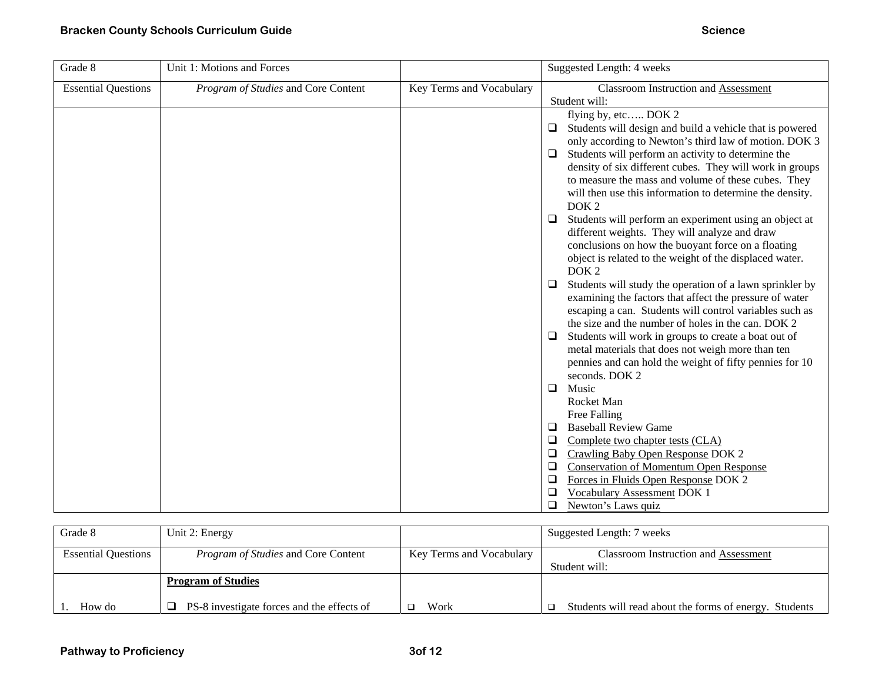| Grade 8                    | Unit 1: Motions and Forces          |                          | Suggested Length: 4 weeks                                                                                          |
|----------------------------|-------------------------------------|--------------------------|--------------------------------------------------------------------------------------------------------------------|
| <b>Essential Questions</b> | Program of Studies and Core Content | Key Terms and Vocabulary | <b>Classroom Instruction and Assessment</b><br>Student will:                                                       |
|                            |                                     |                          | flying by, etc DOK 2                                                                                               |
|                            |                                     |                          | Students will design and build a vehicle that is powered<br>$\Box$                                                 |
|                            |                                     |                          | only according to Newton's third law of motion. DOK 3                                                              |
|                            |                                     |                          | Students will perform an activity to determine the<br>$\Box$                                                       |
|                            |                                     |                          | density of six different cubes. They will work in groups                                                           |
|                            |                                     |                          | to measure the mass and volume of these cubes. They                                                                |
|                            |                                     |                          | will then use this information to determine the density.                                                           |
|                            |                                     |                          | DOK <sub>2</sub>                                                                                                   |
|                            |                                     |                          | Students will perform an experiment using an object at<br>$\Box$                                                   |
|                            |                                     |                          | different weights. They will analyze and draw                                                                      |
|                            |                                     |                          | conclusions on how the buoyant force on a floating                                                                 |
|                            |                                     |                          | object is related to the weight of the displaced water.                                                            |
|                            |                                     |                          | DOK <sub>2</sub>                                                                                                   |
|                            |                                     |                          | $\Box$<br>Students will study the operation of a lawn sprinkler by                                                 |
|                            |                                     |                          | examining the factors that affect the pressure of water<br>escaping a can. Students will control variables such as |
|                            |                                     |                          | the size and the number of holes in the can. DOK 2                                                                 |
|                            |                                     |                          | Students will work in groups to create a boat out of<br>$\Box$                                                     |
|                            |                                     |                          | metal materials that does not weigh more than ten                                                                  |
|                            |                                     |                          | pennies and can hold the weight of fifty pennies for 10                                                            |
|                            |                                     |                          | seconds. DOK 2                                                                                                     |
|                            |                                     |                          | $\Box$<br>Music                                                                                                    |
|                            |                                     |                          | Rocket Man                                                                                                         |
|                            |                                     |                          | Free Falling                                                                                                       |
|                            |                                     |                          | <b>Baseball Review Game</b><br>$\Box$                                                                              |
|                            |                                     |                          | $\Box$<br>Complete two chapter tests (CLA)                                                                         |
|                            |                                     |                          | $\Box$<br>Crawling Baby Open Response DOK 2                                                                        |
|                            |                                     |                          | <b>Conservation of Momentum Open Response</b><br>$\Box$                                                            |
|                            |                                     |                          | Forces in Fluids Open Response DOK 2<br>$\Box$<br>$\Box$<br>Vocabulary Assessment DOK 1                            |
|                            |                                     |                          | $\Box$<br>Newton's Laws quiz                                                                                       |

| Grade 8                    | Unit 2: Energy                             |                          | Suggested Length: 7 weeks                                    |
|----------------------------|--------------------------------------------|--------------------------|--------------------------------------------------------------|
| <b>Essential Questions</b> | <i>Program of Studies</i> and Core Content | Key Terms and Vocabulary | <b>Classroom Instruction and Assessment</b><br>Student will: |
|                            | <b>Program of Studies</b>                  |                          |                                                              |
| How do                     | PS-8 investigate forces and the effects of | Work                     | Students will read about the forms of energy. Students       |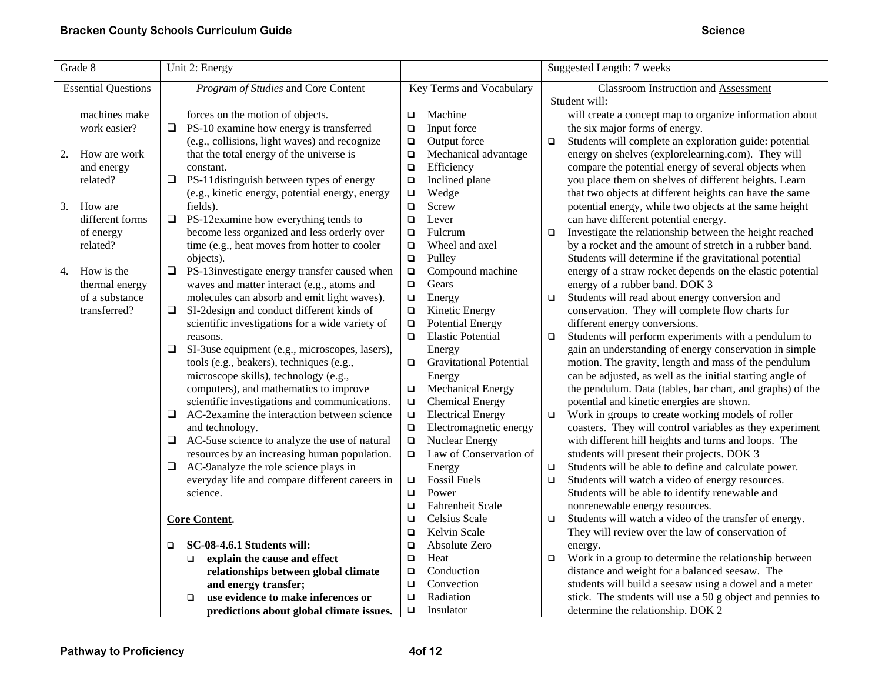| Grade $8$                  | Unit 2: Energy                                      |                                          | Suggested Length: 7 weeks                                         |
|----------------------------|-----------------------------------------------------|------------------------------------------|-------------------------------------------------------------------|
| <b>Essential Questions</b> | Program of Studies and Core Content                 | Key Terms and Vocabulary                 | Classroom Instruction and Assessment                              |
|                            |                                                     |                                          | Student will:                                                     |
| machines make              | forces on the motion of objects.                    | Machine<br>$\Box$                        | will create a concept map to organize information about           |
| work easier?               | $\Box$<br>PS-10 examine how energy is transferred   | Input force<br>$\Box$                    | the six major forms of energy.                                    |
|                            | (e.g., collisions, light waves) and recognize       | Output force<br>$\Box$                   | Students will complete an exploration guide: potential<br>$\Box$  |
| How are work<br>2.         | that the total energy of the universe is            | Mechanical advantage<br>$\Box$           | energy on shelves (explorelearning.com). They will                |
| and energy                 | constant.                                           | $\Box$<br>Efficiency                     | compare the potential energy of several objects when              |
| related?                   | PS-11distinguish between types of energy<br>❏       | Inclined plane<br>$\Box$                 | you place them on shelves of different heights. Learn             |
|                            | (e.g., kinetic energy, potential energy, energy     | Wedge<br>$\Box$                          | that two objects at different heights can have the same           |
| 3.<br>How are              | fields).                                            | Screw<br>$\Box$                          | potential energy, while two objects at the same height            |
| different forms            | $\Box$<br>PS-12examine how everything tends to      | $\Box$<br>Lever                          | can have different potential energy.                              |
| of energy                  | become less organized and less orderly over         | Fulcrum<br>$\Box$                        | Investigate the relationship between the height reached<br>$\Box$ |
| related?                   | time (e.g., heat moves from hotter to cooler        | Wheel and axel<br>$\Box$                 | by a rocket and the amount of stretch in a rubber band.           |
|                            | objects).                                           | $\Box$<br>Pulley                         | Students will determine if the gravitational potential            |
| How is the<br>4.           | PS-13investigate energy transfer caused when<br>□   | Compound machine<br>$\Box$               | energy of a straw rocket depends on the elastic potential         |
| thermal energy             | waves and matter interact (e.g., atoms and          | Gears<br>$\Box$                          | energy of a rubber band. DOK 3                                    |
| of a substance             | molecules can absorb and emit light waves).         | Energy<br>$\Box$                         | Students will read about energy conversion and<br>$\Box$          |
| transferred?               | SI-2design and conduct different kinds of<br>❏      | Kinetic Energy<br>$\Box$                 | conservation. They will complete flow charts for                  |
|                            | scientific investigations for a wide variety of     | <b>Potential Energy</b><br>$\Box$        | different energy conversions.                                     |
|                            | reasons.                                            | <b>Elastic Potential</b><br>$\Box$       | Students will perform experiments with a pendulum to<br>$\Box$    |
|                            | ❏<br>SI-3use equipment (e.g., microscopes, lasers), | Energy                                   | gain an understanding of energy conservation in simple            |
|                            | tools (e.g., beakers), techniques (e.g.,            | <b>Gravitational Potential</b><br>$\Box$ | motion. The gravity, length and mass of the pendulum              |
|                            | microscope skills), technology (e.g.,               | Energy                                   | can be adjusted, as well as the initial starting angle of         |
|                            | computers), and mathematics to improve              | Mechanical Energy<br>$\Box$              | the pendulum. Data (tables, bar chart, and graphs) of the         |
|                            | scientific investigations and communications.       | <b>Chemical Energy</b><br>$\Box$         | potential and kinetic energies are shown.                         |
|                            | AC-2examine the interaction between science<br>❏    | <b>Electrical Energy</b><br>$\Box$       | Work in groups to create working models of roller<br>$\Box$       |
|                            | and technology.                                     | Electromagnetic energy<br>$\Box$         | coasters. They will control variables as they experiment          |
|                            | AC-5use science to analyze the use of natural<br>❏  | <b>Nuclear Energy</b><br>$\Box$          | with different hill heights and turns and loops. The              |
|                            | resources by an increasing human population.        | Law of Conservation of<br>$\Box$         | students will present their projects. DOK 3                       |
|                            | AC-9analyze the role science plays in<br>❏          | Energy                                   | Students will be able to define and calculate power.<br>$\Box$    |
|                            | everyday life and compare different careers in      | <b>Fossil Fuels</b><br>$\Box$            | Students will watch a video of energy resources.<br>$\Box$        |
|                            | science.                                            | $\Box$<br>Power                          | Students will be able to identify renewable and                   |
|                            |                                                     | Fahrenheit Scale<br>$\Box$               | nonrenewable energy resources.                                    |
|                            | Core Content.                                       | Celsius Scale<br>$\Box$                  | Students will watch a video of the transfer of energy.<br>$\Box$  |
|                            |                                                     | Kelvin Scale<br>$\Box$                   | They will review over the law of conservation of                  |
|                            | SC-08-4.6.1 Students will:<br>$\Box$                | Absolute Zero<br>$\Box$                  | energy.                                                           |
|                            | explain the cause and effect<br>$\Box$              | Heat<br>□                                | Work in a group to determine the relationship between<br>$\Box$   |
|                            | relationships between global climate                | Conduction<br>□                          | distance and weight for a balanced seesaw. The                    |
|                            | and energy transfer;                                | Convection<br>$\Box$                     | students will build a seesaw using a dowel and a meter            |
|                            | use evidence to make inferences or<br>$\Box$        | Radiation<br>$\Box$                      | stick. The students will use a 50 g object and pennies to         |
|                            | predictions about global climate issues.            | $\Box$<br>Insulator                      | determine the relationship. DOK 2                                 |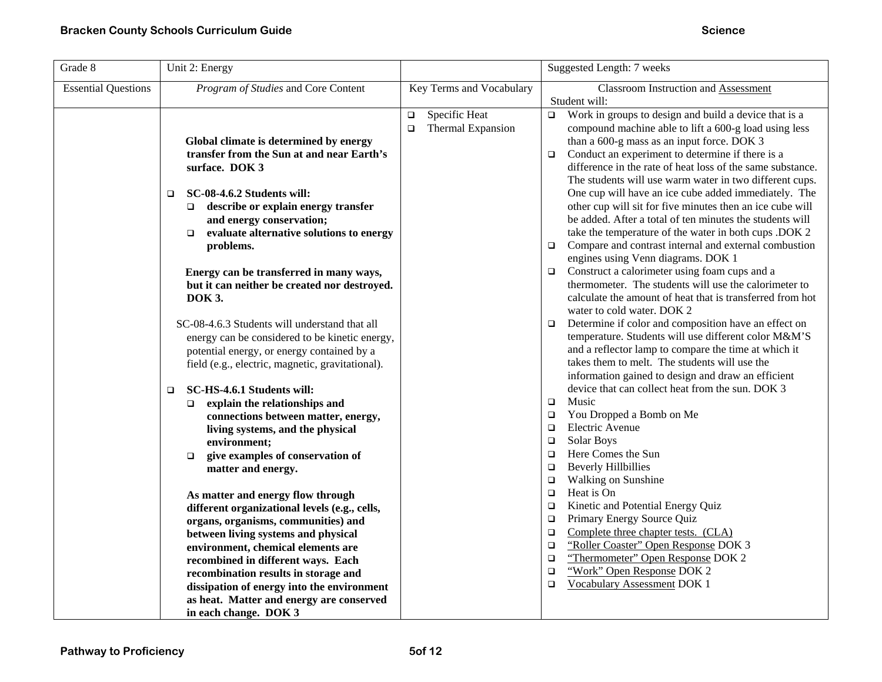| Grade 8                    | Unit 2: Energy                                                                                                                                                                                                                                                                                                                                                                                                                                                                                                                                                                                                                                                                                                                                                                                                                                                                                                                                                                                       |                                                        | Suggested Length: 7 weeks                                                                                                                                                                                                                                                                                                                                                                                                                                                                                                                                                                                                                                                                                                                                                                                                                                                                                                                                                                                                                                                                                                                                                                                                                                                                                                                                                                                                                                                                                                                                                                                                                     |
|----------------------------|------------------------------------------------------------------------------------------------------------------------------------------------------------------------------------------------------------------------------------------------------------------------------------------------------------------------------------------------------------------------------------------------------------------------------------------------------------------------------------------------------------------------------------------------------------------------------------------------------------------------------------------------------------------------------------------------------------------------------------------------------------------------------------------------------------------------------------------------------------------------------------------------------------------------------------------------------------------------------------------------------|--------------------------------------------------------|-----------------------------------------------------------------------------------------------------------------------------------------------------------------------------------------------------------------------------------------------------------------------------------------------------------------------------------------------------------------------------------------------------------------------------------------------------------------------------------------------------------------------------------------------------------------------------------------------------------------------------------------------------------------------------------------------------------------------------------------------------------------------------------------------------------------------------------------------------------------------------------------------------------------------------------------------------------------------------------------------------------------------------------------------------------------------------------------------------------------------------------------------------------------------------------------------------------------------------------------------------------------------------------------------------------------------------------------------------------------------------------------------------------------------------------------------------------------------------------------------------------------------------------------------------------------------------------------------------------------------------------------------|
| <b>Essential Questions</b> | Program of Studies and Core Content                                                                                                                                                                                                                                                                                                                                                                                                                                                                                                                                                                                                                                                                                                                                                                                                                                                                                                                                                                  | Key Terms and Vocabulary                               | Classroom Instruction and Assessment                                                                                                                                                                                                                                                                                                                                                                                                                                                                                                                                                                                                                                                                                                                                                                                                                                                                                                                                                                                                                                                                                                                                                                                                                                                                                                                                                                                                                                                                                                                                                                                                          |
|                            | Global climate is determined by energy<br>transfer from the Sun at and near Earth's<br>surface. DOK 3<br><b>SC-08-4.6.2 Students will:</b><br>$\Box$<br>describe or explain energy transfer<br>$\Box$<br>and energy conservation;<br>evaluate alternative solutions to energy<br>$\Box$<br>problems.<br>Energy can be transferred in many ways,<br>but it can neither be created nor destroyed.<br><b>DOK 3.</b><br>SC-08-4.6.3 Students will understand that all<br>energy can be considered to be kinetic energy,<br>potential energy, or energy contained by a<br>field (e.g., electric, magnetic, gravitational).<br>SC-HS-4.6.1 Students will:<br>$\Box$<br>explain the relationships and<br>$\Box$<br>connections between matter, energy,<br>living systems, and the physical<br>environment;<br>give examples of conservation of<br>$\Box$<br>matter and energy.<br>As matter and energy flow through<br>different organizational levels (e.g., cells,<br>organs, organisms, communities) and | Specific Heat<br>$\Box$<br>Thermal Expansion<br>$\Box$ | Student will:<br>$\Box$<br>Work in groups to design and build a device that is a<br>compound machine able to lift a 600-g load using less<br>than a 600-g mass as an input force. DOK 3<br>Conduct an experiment to determine if there is a<br>$\Box$<br>difference in the rate of heat loss of the same substance.<br>The students will use warm water in two different cups.<br>One cup will have an ice cube added immediately. The<br>other cup will sit for five minutes then an ice cube will<br>be added. After a total of ten minutes the students will<br>take the temperature of the water in both cups .DOK 2<br>Compare and contrast internal and external combustion<br>$\Box$<br>engines using Venn diagrams. DOK 1<br>Construct a calorimeter using foam cups and a<br>$\Box$<br>thermometer. The students will use the calorimeter to<br>calculate the amount of heat that is transferred from hot<br>water to cold water. DOK 2<br>Determine if color and composition have an effect on<br>$\Box$<br>temperature. Students will use different color M&M'S<br>and a reflector lamp to compare the time at which it<br>takes them to melt. The students will use the<br>information gained to design and draw an efficient<br>device that can collect heat from the sun. DOK 3<br>Music<br>$\Box$<br>You Dropped a Bomb on Me<br>$\Box$<br>Electric Avenue<br>$\Box$<br>Solar Boys<br>$\Box$<br>Here Comes the Sun<br>$\Box$<br><b>Beverly Hillbillies</b><br>$\Box$<br>Walking on Sunshine<br>$\Box$<br>Heat is On<br>$\Box$<br>Kinetic and Potential Energy Quiz<br>$\Box$<br>Primary Energy Source Quiz<br>$\Box$<br>$\Box$ |
|                            | between living systems and physical<br>environment, chemical elements are                                                                                                                                                                                                                                                                                                                                                                                                                                                                                                                                                                                                                                                                                                                                                                                                                                                                                                                            |                                                        | Complete three chapter tests. (CLA)<br>"Roller Coaster" Open Response DOK 3<br>$\Box$                                                                                                                                                                                                                                                                                                                                                                                                                                                                                                                                                                                                                                                                                                                                                                                                                                                                                                                                                                                                                                                                                                                                                                                                                                                                                                                                                                                                                                                                                                                                                         |
|                            | recombined in different ways. Each<br>recombination results in storage and<br>dissipation of energy into the environment                                                                                                                                                                                                                                                                                                                                                                                                                                                                                                                                                                                                                                                                                                                                                                                                                                                                             |                                                        | "Thermometer" Open Response DOK 2<br>$\Box$<br>"Work" Open Response DOK 2<br>$\Box$<br><b>Vocabulary Assessment DOK 1</b><br>$\Box$                                                                                                                                                                                                                                                                                                                                                                                                                                                                                                                                                                                                                                                                                                                                                                                                                                                                                                                                                                                                                                                                                                                                                                                                                                                                                                                                                                                                                                                                                                           |
|                            | as heat. Matter and energy are conserved<br>in each change. DOK 3                                                                                                                                                                                                                                                                                                                                                                                                                                                                                                                                                                                                                                                                                                                                                                                                                                                                                                                                    |                                                        |                                                                                                                                                                                                                                                                                                                                                                                                                                                                                                                                                                                                                                                                                                                                                                                                                                                                                                                                                                                                                                                                                                                                                                                                                                                                                                                                                                                                                                                                                                                                                                                                                                               |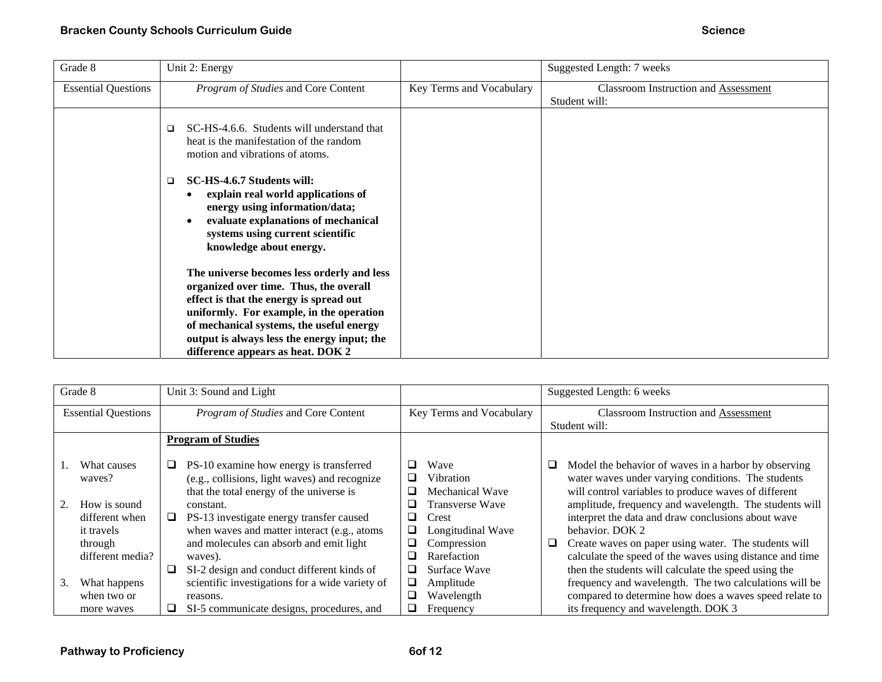| Grade 8                    | Unit 2: Energy                                                                                                                                                                                                          |                          | Suggested Length: 7 weeks                             |
|----------------------------|-------------------------------------------------------------------------------------------------------------------------------------------------------------------------------------------------------------------------|--------------------------|-------------------------------------------------------|
| <b>Essential Questions</b> | Program of Studies and Core Content                                                                                                                                                                                     | Key Terms and Vocabulary | Classroom Instruction and Assessment<br>Student will: |
|                            | SC-HS-4.6.6. Students will understand that<br>□<br>heat is the manifestation of the random<br>motion and vibrations of atoms.                                                                                           |                          |                                                       |
|                            | SC-HS-4.6.7 Students will:<br>□<br>explain real world applications of<br>energy using information/data;<br>evaluate explanations of mechanical<br>systems using current scientific<br>knowledge about energy.           |                          |                                                       |
|                            | The universe becomes less orderly and less<br>organized over time. Thus, the overall<br>effect is that the energy is spread out<br>uniformly. For example, in the operation<br>of mechanical systems, the useful energy |                          |                                                       |
|                            | output is always less the energy input; the<br>difference appears as heat. DOK 2                                                                                                                                        |                          |                                                       |

|    | Grade 8                    |   | Unit 3: Sound and Light                         |   |                          |   | Suggested Length: 6 weeks                                |
|----|----------------------------|---|-------------------------------------------------|---|--------------------------|---|----------------------------------------------------------|
|    | <b>Essential Questions</b> |   | Program of Studies and Core Content             |   | Key Terms and Vocabulary |   | <b>Classroom Instruction and Assessment</b>              |
|    |                            |   |                                                 |   |                          |   | Student will:                                            |
|    |                            |   | <b>Program of Studies</b>                       |   |                          |   |                                                          |
|    |                            |   |                                                 |   |                          |   |                                                          |
|    | What causes                | u | PS-10 examine how energy is transferred         | ப | Wave                     |   | Model the behavior of waves in a harbor by observing     |
|    | waves?                     |   | (e.g., collisions, light waves) and recognize   | ப | Vibration                |   | water waves under varying conditions. The students       |
|    |                            |   | that the total energy of the universe is        |   | Mechanical Wave          |   | will control variables to produce waves of different     |
|    | How is sound               |   | constant.                                       |   | Transverse Wave          |   | amplitude, frequency and wavelength. The students will   |
|    | different when             | u | PS-13 investigate energy transfer caused        | ப | Crest                    |   | interpret the data and draw conclusions about wave       |
|    | it travels                 |   | when waves and matter interact (e.g., atoms     |   | Longitudinal Wave        |   | behavior. DOK 2                                          |
|    | through                    |   | and molecules can absorb and emit light         | ⊔ | Compression              | ⊔ | Create waves on paper using water. The students will     |
|    | different media?           |   | waves).                                         |   | Rarefaction              |   | calculate the speed of the waves using distance and time |
|    |                            | ❏ | SI-2 design and conduct different kinds of      |   | Surface Wave             |   | then the students will calculate the speed using the     |
| 3. | What happens               |   | scientific investigations for a wide variety of |   | Amplitude                |   | frequency and wavelength. The two calculations will be   |
|    | when two or                |   | reasons.                                        |   | Wavelength               |   | compared to determine how does a waves speed relate to   |
|    | more waves                 | ப | SI-5 communicate designs, procedures, and       |   | Frequency                |   | its frequency and wavelength. DOK 3                      |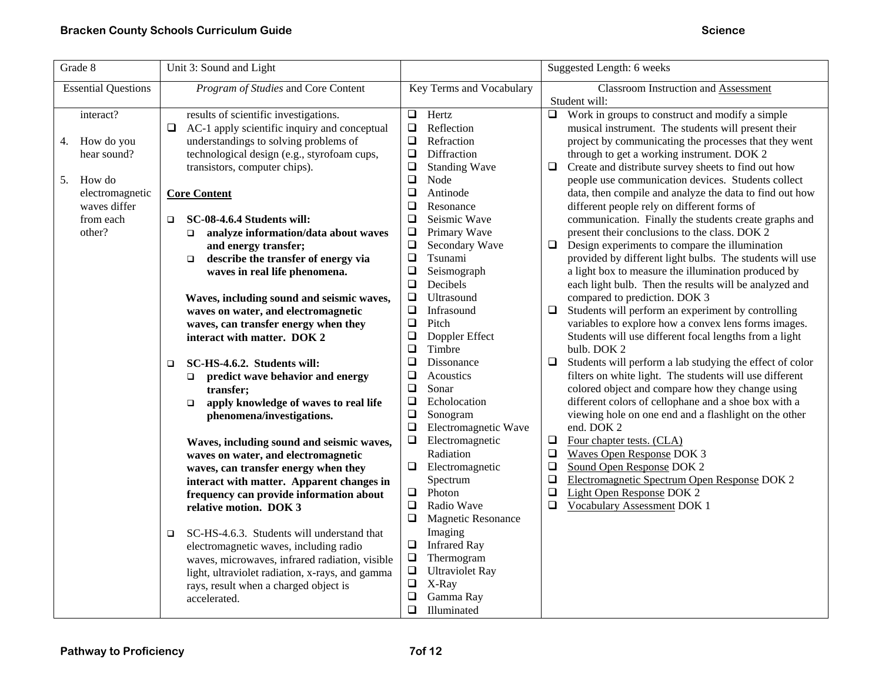| Grade 8                    | Unit 3: Sound and Light                                |                                     | Suggested Length: 6 weeks                                          |
|----------------------------|--------------------------------------------------------|-------------------------------------|--------------------------------------------------------------------|
| <b>Essential Questions</b> | Program of Studies and Core Content                    | Key Terms and Vocabulary            | <b>Classroom Instruction and Assessment</b>                        |
|                            |                                                        |                                     | Student will:                                                      |
| interact?                  | results of scientific investigations.                  | Hertz<br>$\Box$                     | $\Box$ Work in groups to construct and modify a simple             |
|                            | AC-1 apply scientific inquiry and conceptual<br>$\Box$ | $\Box$<br>Reflection                | musical instrument. The students will present their                |
| How do you<br>4.           | understandings to solving problems of                  | $\Box$<br>Refraction                | project by communicating the processes that they went              |
| hear sound?                | technological design (e.g., styrofoam cups,            | $\Box$<br>Diffraction               | through to get a working instrument. DOK 2                         |
|                            | transistors, computer chips).                          | $\Box$<br><b>Standing Wave</b>      | $\Box$<br>Create and distribute survey sheets to find out how      |
| How do<br>5.               |                                                        | $\Box$<br>Node                      | people use communication devices. Students collect                 |
| electromagnetic            | <b>Core Content</b>                                    | $\Box$<br>Antinode                  | data, then compile and analyze the data to find out how            |
| waves differ               |                                                        | $\Box$<br>Resonance                 | different people rely on different forms of                        |
| from each                  | SC-08-4.6.4 Students will:<br>$\Box$                   | $\Box$<br>Seismic Wave              | communication. Finally the students create graphs and              |
| other?                     | analyze information/data about waves<br>$\Box$         | $\Box$<br>Primary Wave              | present their conclusions to the class. DOK 2                      |
|                            | and energy transfer;                                   | $\Box$<br>Secondary Wave            | Design experiments to compare the illumination<br>$\Box$           |
|                            | describe the transfer of energy via<br>$\Box$          | $\Box$<br>Tsunami                   | provided by different light bulbs. The students will use           |
|                            | waves in real life phenomena.                          | $\Box$<br>Seismograph               | a light box to measure the illumination produced by                |
|                            |                                                        | $\Box$<br>Decibels                  | each light bulb. Then the results will be analyzed and             |
|                            | Waves, including sound and seismic waves,              | $\Box$<br>Ultrasound                | compared to prediction. DOK 3                                      |
|                            | waves on water, and electromagnetic                    | $\Box$<br>Infrasound                | $\Box$<br>Students will perform an experiment by controlling       |
|                            | waves, can transfer energy when they                   | Pitch<br>$\Box$                     | variables to explore how a convex lens forms images.               |
|                            | interact with matter. DOK 2                            | $\Box$<br>Doppler Effect            | Students will use different focal lengths from a light             |
|                            |                                                        | Timbre<br>❏                         | bulb. DOK 2                                                        |
|                            | SC-HS-4.6.2. Students will:<br>□                       | $\Box$<br>Dissonance                | $\Box$<br>Students will perform a lab studying the effect of color |
|                            | predict wave behavior and energy<br>$\Box$             | $\Box$<br>Acoustics                 | filters on white light. The students will use different            |
|                            | transfer;                                              | $\Box$<br>Sonar                     | colored object and compare how they change using                   |
|                            | apply knowledge of waves to real life<br>$\Box$        | $\Box$<br>Echolocation              | different colors of cellophane and a shoe box with a               |
|                            | phenomena/investigations.                              | $\Box$<br>Sonogram                  | viewing hole on one end and a flashlight on the other              |
|                            |                                                        | $\Box$<br>Electromagnetic Wave      | end. DOK 2                                                         |
|                            | Waves, including sound and seismic waves,              | $\Box$<br>Electromagnetic           | $\Box$<br>Four chapter tests. (CLA)                                |
|                            | waves on water, and electromagnetic                    | Radiation                           | <b>Waves Open Response DOK 3</b><br>$\Box$                         |
|                            | waves, can transfer energy when they                   | Electromagnetic<br>❏                | $\Box$<br>Sound Open Response DOK 2                                |
|                            | interact with matter. Apparent changes in              | Spectrum                            | $\Box$<br>Electromagnetic Spectrum Open Response DOK 2             |
|                            | frequency can provide information about                | Photon<br>$\Box$                    | $\Box$<br>Light Open Response DOK 2                                |
|                            | relative motion. DOK 3                                 | $\Box$<br>Radio Wave                | $\Box$<br>Vocabulary Assessment DOK 1                              |
|                            |                                                        | $\Box$<br><b>Magnetic Resonance</b> |                                                                    |
|                            | SC-HS-4.6.3. Students will understand that<br>$\Box$   | Imaging                             |                                                                    |
|                            | electromagnetic waves, including radio                 | <b>Infrared Ray</b><br>$\Box$       |                                                                    |
|                            | waves, microwaves, infrared radiation, visible         | $\Box$<br>Thermogram                |                                                                    |
|                            | light, ultraviolet radiation, x-rays, and gamma        | $\Box$<br><b>Ultraviolet Ray</b>    |                                                                    |
|                            | rays, result when a charged object is                  | $\Box$<br>X-Ray                     |                                                                    |
|                            | accelerated.                                           | $\Box$<br>Gamma Ray                 |                                                                    |
|                            |                                                        | $\Box$<br>Illuminated               |                                                                    |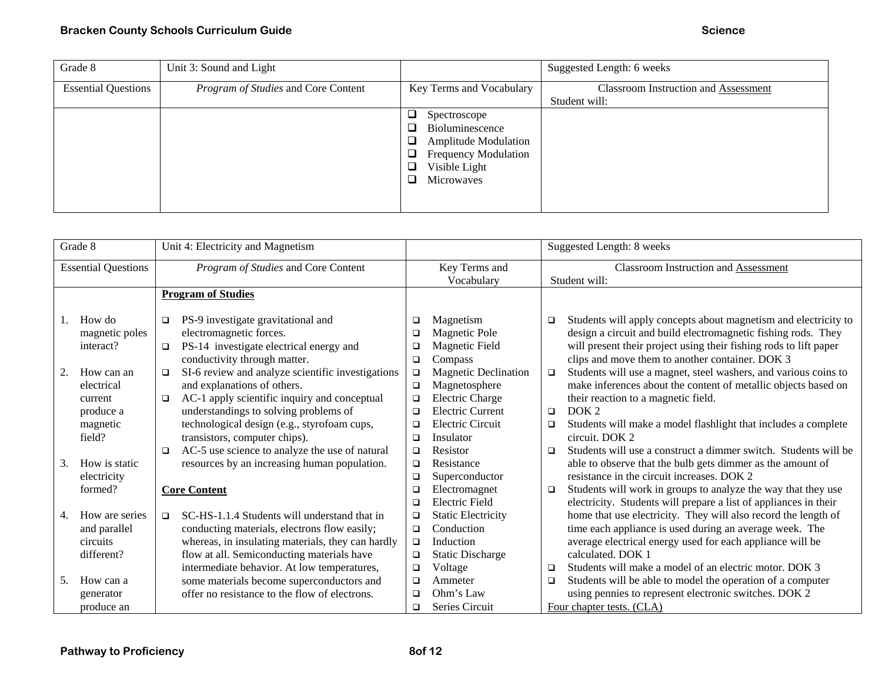| Grade 8                    | Unit 3: Sound and Light             |                                                                                                                                                                                            | Suggested Length: 6 weeks                             |
|----------------------------|-------------------------------------|--------------------------------------------------------------------------------------------------------------------------------------------------------------------------------------------|-------------------------------------------------------|
| <b>Essential Questions</b> | Program of Studies and Core Content | Key Terms and Vocabulary                                                                                                                                                                   | Classroom Instruction and Assessment<br>Student will: |
|                            |                                     | Spectroscope<br>u<br>Bioluminescence<br>$\mathcal{L}_{\mathcal{A}}$<br><b>Amplitude Modulation</b><br>a.<br><b>Frequency Modulation</b><br>J.<br>Visible Light<br>لت<br>Microwaves<br>ا آب |                                                       |

|    | Grade 8                                                             | Unit 4: Electricity and Magnetism                                                                                                                                                                                                                                               |                                      |                                                                                                                                         |                                                              | Suggested Length: 8 weeks                                                                                                                                                                                                                                                                                                                                                                                  |
|----|---------------------------------------------------------------------|---------------------------------------------------------------------------------------------------------------------------------------------------------------------------------------------------------------------------------------------------------------------------------|--------------------------------------|-----------------------------------------------------------------------------------------------------------------------------------------|--------------------------------------------------------------|------------------------------------------------------------------------------------------------------------------------------------------------------------------------------------------------------------------------------------------------------------------------------------------------------------------------------------------------------------------------------------------------------------|
|    | <b>Essential Questions</b>                                          | Program of Studies and Core Content                                                                                                                                                                                                                                             |                                      | Key Terms and<br>Vocabulary                                                                                                             | <b>Classroom Instruction and Assessment</b><br>Student will: |                                                                                                                                                                                                                                                                                                                                                                                                            |
|    |                                                                     | <b>Program of Studies</b>                                                                                                                                                                                                                                                       |                                      |                                                                                                                                         |                                                              |                                                                                                                                                                                                                                                                                                                                                                                                            |
| 1. | How do<br>magnetic poles<br>interact?                               | PS-9 investigate gravitational and<br>$\Box$<br>electromagnetic forces.<br>PS-14 investigate electrical energy and<br>$\Box$                                                                                                                                                    | □<br>□                               | Magnetism<br><b>Magnetic Pole</b><br>Magnetic Field                                                                                     | $\Box$                                                       | Students will apply concepts about magnetism and electricity to<br>design a circuit and build electromagnetic fishing rods. They<br>will present their project using their fishing rods to lift paper                                                                                                                                                                                                      |
| 2. | How can an<br>electrical<br>current<br>produce a<br>magnetic        | conductivity through matter.<br>SI-6 review and analyze scientific investigations<br>$\Box$<br>and explanations of others.<br>AC-1 apply scientific inquiry and conceptual<br>❏<br>understandings to solving problems of<br>technological design (e.g., styrofoam cups,         | $\Box$<br>□<br>$\Box$<br>□<br>□<br>□ | Compass<br><b>Magnetic Declination</b><br>Magnetosphere<br><b>Electric Charge</b><br><b>Electric Current</b><br><b>Electric Circuit</b> | $\Box$<br>$\Box$<br>$\Box$                                   | clips and move them to another container. DOK 3<br>Students will use a magnet, steel washers, and various coins to<br>make inferences about the content of metallic objects based on<br>their reaction to a magnetic field.<br>DOK 2<br>Students will make a model flashlight that includes a complete                                                                                                     |
| 3. | field?<br>How is static<br>electricity                              | transistors, computer chips).<br>AC-5 use science to analyze the use of natural<br>□<br>resources by an increasing human population.                                                                                                                                            | □<br>$\Box$<br>◻<br>□                | Insulator<br>Resistor<br>Resistance<br>Superconductor                                                                                   | $\Box$                                                       | circuit. DOK 2<br>Students will use a construct a dimmer switch. Students will be<br>able to observe that the bulb gets dimmer as the amount of<br>resistance in the circuit increases. DOK 2                                                                                                                                                                                                              |
| 4. | formed?<br>How are series<br>and parallel<br>circuits<br>different? | <b>Core Content</b><br>SC-HS-1.1.4 Students will understand that in<br>$\Box$<br>conducting materials, electrons flow easily;<br>whereas, in insulating materials, they can hardly<br>flow at all. Semiconducting materials have<br>intermediate behavior. At low temperatures, | □<br>Е<br>□<br>□<br>$\Box$<br>□<br>□ | Electromagnet<br><b>Electric Field</b><br><b>Static Electricity</b><br>Conduction<br>Induction<br><b>Static Discharge</b><br>Voltage    | $\Box$<br>$\Box$                                             | Students will work in groups to analyze the way that they use<br>electricity. Students will prepare a list of appliances in their<br>home that use electricity. They will also record the length of<br>time each appliance is used during an average week. The<br>average electrical energy used for each appliance will be<br>calculated. DOK 1<br>Students will make a model of an electric motor. DOK 3 |
| 5. | How can a<br>generator<br>produce an                                | some materials become superconductors and<br>offer no resistance to the flow of electrons.                                                                                                                                                                                      | □<br>□                               | Ammeter<br>Ohm's Law<br>Series Circuit                                                                                                  | $\Box$                                                       | Students will be able to model the operation of a computer<br>using pennies to represent electronic switches. DOK 2<br>Four chapter tests. (CLA)                                                                                                                                                                                                                                                           |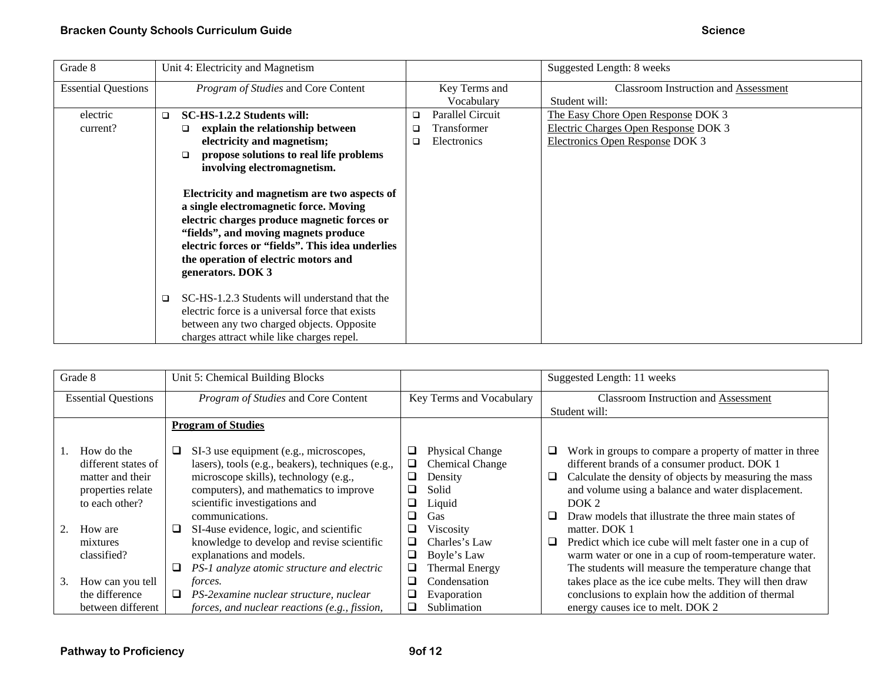| Grade 8                    | Unit 4: Electricity and Magnetism                                                                                                                                                                                                                                                              |                         | Suggested Length: 8 weeks            |
|----------------------------|------------------------------------------------------------------------------------------------------------------------------------------------------------------------------------------------------------------------------------------------------------------------------------------------|-------------------------|--------------------------------------|
| <b>Essential Questions</b> | Program of Studies and Core Content                                                                                                                                                                                                                                                            | Key Terms and           | Classroom Instruction and Assessment |
|                            |                                                                                                                                                                                                                                                                                                | Vocabulary              | Student will:                        |
| electric                   | SC-HS-1.2.2 Students will:<br>$\Box$                                                                                                                                                                                                                                                           | Parallel Circuit<br>□   | The Easy Chore Open Response DOK 3   |
| current?                   | explain the relationship between<br>□                                                                                                                                                                                                                                                          | <b>Transformer</b><br>□ | Electric Charges Open Response DOK 3 |
|                            | electricity and magnetism;                                                                                                                                                                                                                                                                     | Electronics<br>❏        | Electronics Open Response DOK 3      |
|                            | propose solutions to real life problems<br>□                                                                                                                                                                                                                                                   |                         |                                      |
|                            | involving electromagnetism.                                                                                                                                                                                                                                                                    |                         |                                      |
|                            | Electricity and magnetism are two aspects of<br>a single electromagnetic force. Moving<br>electric charges produce magnetic forces or<br>"fields", and moving magnets produce<br>electric forces or "fields". This idea underlies<br>the operation of electric motors and<br>generators. DOK 3 |                         |                                      |
|                            | SC-HS-1.2.3 Students will understand that the<br>□                                                                                                                                                                                                                                             |                         |                                      |
|                            | electric force is a universal force that exists                                                                                                                                                                                                                                                |                         |                                      |
|                            | between any two charged objects. Opposite                                                                                                                                                                                                                                                      |                         |                                      |
|                            | charges attract while like charges repel.                                                                                                                                                                                                                                                      |                         |                                      |

| Grade 8                    |                                                                                              | Unit 5: Chemical Building Blocks                                                                                                                                                                                                        |  | Suggested Length: 11 weeks |                                                                                       |                                             |                                                                                                                                                                                                                                                                                                      |
|----------------------------|----------------------------------------------------------------------------------------------|-----------------------------------------------------------------------------------------------------------------------------------------------------------------------------------------------------------------------------------------|--|----------------------------|---------------------------------------------------------------------------------------|---------------------------------------------|------------------------------------------------------------------------------------------------------------------------------------------------------------------------------------------------------------------------------------------------------------------------------------------------------|
| <b>Essential Questions</b> |                                                                                              | Program of Studies and Core Content                                                                                                                                                                                                     |  | Key Terms and Vocabulary   |                                                                                       | <b>Classroom Instruction and Assessment</b> |                                                                                                                                                                                                                                                                                                      |
|                            |                                                                                              |                                                                                                                                                                                                                                         |  |                            | Student will:                                                                         |                                             |                                                                                                                                                                                                                                                                                                      |
|                            |                                                                                              | <b>Program of Studies</b>                                                                                                                                                                                                               |  |                            |                                                                                       |                                             |                                                                                                                                                                                                                                                                                                      |
|                            | How do the<br>different states of<br>matter and their<br>properties relate<br>to each other? | SI-3 use equipment (e.g., microscopes,<br>⊔<br>lasers), tools (e.g., beakers), techniques (e.g.,<br>microscope skills), technology (e.g.,<br>computers), and mathematics to improve<br>scientific investigations and<br>communications. |  | u<br>⊔<br>⊔<br>⊔<br>⊔<br>⊔ | <b>Physical Change</b><br><b>Chemical Change</b><br>Density<br>Solid<br>Liquid<br>Gas | ⊔<br>ப                                      | Work in groups to compare a property of matter in three<br>different brands of a consumer product. DOK 1<br>Calculate the density of objects by measuring the mass<br>and volume using a balance and water displacement.<br>DOK <sub>2</sub><br>Draw models that illustrate the three main states of |
|                            | How are<br>mixtures<br>classified?                                                           | SI-4use evidence, logic, and scientific<br>⊔<br>knowledge to develop and revise scientific<br>explanations and models.<br>PS-1 analyze atomic structure and electric<br>⊔                                                               |  | ⊔<br>⊔<br>❏<br>⊔           | Viscosity<br>Charles's Law<br>Boyle's Law<br><b>Thermal Energy</b>                    | ⊔                                           | matter. DOK 1<br>Predict which ice cube will melt faster one in a cup of<br>warm water or one in a cup of room-temperature water.<br>The students will measure the temperature change that                                                                                                           |
|                            | How can you tell<br>3.<br>the difference<br>between different                                | <i>forces.</i><br>PS-2examine nuclear structure, nuclear<br>□<br>forces, and nuclear reactions (e.g., fission,                                                                                                                          |  | ❏<br>❏<br>❏                | Condensation<br>Evaporation<br>Sublimation                                            |                                             | takes place as the ice cube melts. They will then draw<br>conclusions to explain how the addition of thermal<br>energy causes ice to melt. DOK 2                                                                                                                                                     |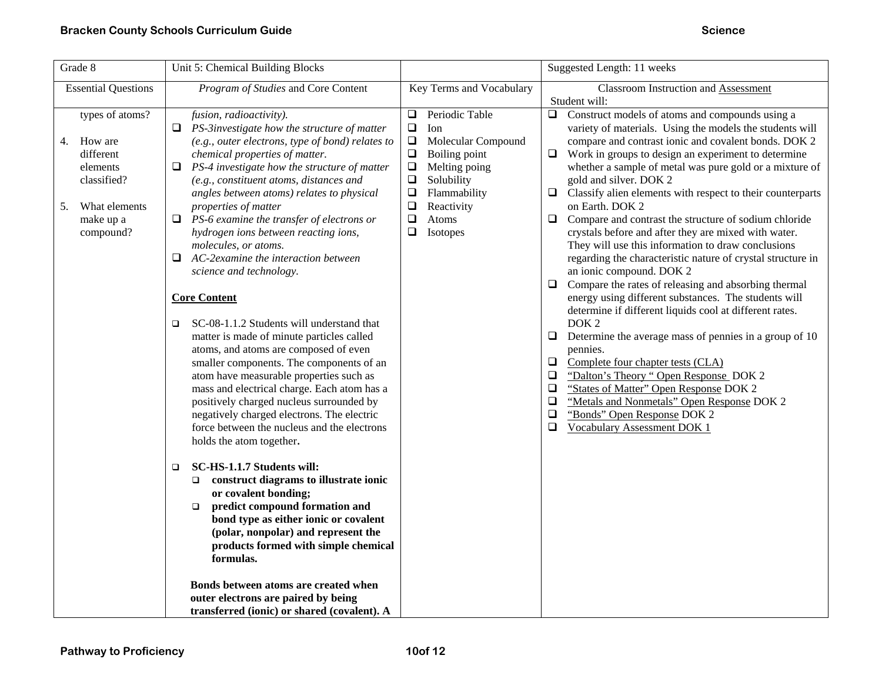| Grade 8                                                                                                                                                 | Unit 5: Chemical Building Blocks                                                                                                                                                                                                                                                                                                                                                                                                                                                                                                                      |                                                                                                                                                                                                                                                                                | Suggested Length: 11 weeks                                                                                                                                                                                                                                                                                                                                                                                                                                                                                                                                                                                                                                                                                                              |  |
|---------------------------------------------------------------------------------------------------------------------------------------------------------|-------------------------------------------------------------------------------------------------------------------------------------------------------------------------------------------------------------------------------------------------------------------------------------------------------------------------------------------------------------------------------------------------------------------------------------------------------------------------------------------------------------------------------------------------------|--------------------------------------------------------------------------------------------------------------------------------------------------------------------------------------------------------------------------------------------------------------------------------|-----------------------------------------------------------------------------------------------------------------------------------------------------------------------------------------------------------------------------------------------------------------------------------------------------------------------------------------------------------------------------------------------------------------------------------------------------------------------------------------------------------------------------------------------------------------------------------------------------------------------------------------------------------------------------------------------------------------------------------------|--|
| <b>Essential Questions</b><br>types of atoms?<br>How are<br>4.<br>different<br>elements<br>classified?<br>What elements<br>5.<br>make up a<br>compound? | Program of Studies and Core Content<br>fusion, radioactivity).<br>$\Box$ PS-3investigate how the structure of matter<br>(e.g., outer electrons, type of bond) relates to<br>chemical properties of matter.<br>$\Box$ PS-4 investigate how the structure of matter<br>(e.g., constituent atoms, distances and<br>angles between atoms) relates to physical<br>properties of matter<br>$\Box$ PS-6 examine the transfer of electrons or<br>hydrogen ions between reacting ions,<br>molecules, or atoms.                                                 | Key Terms and Vocabulary<br>Periodic Table<br>$\Box$<br>$\Box$<br>Ion<br>$\Box$<br>Molecular Compound<br>$\Box$<br>Boiling point<br>$\Box$<br>Melting poing<br>$\Box$<br>Solubility<br>$\Box$<br>Flammability<br>$\Box$<br>Reactivity<br>$\Box$<br>Atoms<br>$\Box$<br>Isotopes | <b>Classroom Instruction and Assessment</b><br>Student will:<br>$\Box$<br>Construct models of atoms and compounds using a<br>variety of materials. Using the models the students will<br>compare and contrast ionic and covalent bonds. DOK 2<br>Work in groups to design an experiment to determine<br>$\Box$<br>whether a sample of metal was pure gold or a mixture of<br>gold and silver. DOK 2<br>Classify alien elements with respect to their counterparts<br>$\Box$<br>on Earth. DOK 2<br>$\Box$<br>Compare and contrast the structure of sodium chloride<br>crystals before and after they are mixed with water.                                                                                                               |  |
|                                                                                                                                                         | $\Box$ AC-2 examine the interaction between<br>science and technology.<br><b>Core Content</b><br>SC-08-1.1.2 Students will understand that<br>$\Box$<br>matter is made of minute particles called<br>atoms, and atoms are composed of even<br>smaller components. The components of an<br>atom have measurable properties such as<br>mass and electrical charge. Each atom has a<br>positively charged nucleus surrounded by<br>negatively charged electrons. The electric<br>force between the nucleus and the electrons<br>holds the atom together. |                                                                                                                                                                                                                                                                                | They will use this information to draw conclusions<br>regarding the characteristic nature of crystal structure in<br>an ionic compound. DOK 2<br>Compare the rates of releasing and absorbing thermal<br>$\Box$<br>energy using different substances. The students will<br>determine if different liquids cool at different rates.<br>DOK <sub>2</sub><br>$\Box$<br>Determine the average mass of pennies in a group of 10<br>pennies.<br>$\Box$<br>Complete four chapter tests (CLA)<br>"Dalton's Theory " Open Response_DOK 2<br>$\Box$<br>"States of Matter" Open Response DOK 2<br>$\Box$<br>$\Box$<br>"Metals and Nonmetals" Open Response DOK 2<br>$\Box$<br>"Bonds" Open Response DOK 2<br>$\Box$<br>Vocabulary Assessment DOK 1 |  |
|                                                                                                                                                         | SC-HS-1.1.7 Students will:<br>$\Box$<br>construct diagrams to illustrate ionic<br>$\Box$<br>or covalent bonding;<br>predict compound formation and<br>$\Box$<br>bond type as either ionic or covalent<br>(polar, nonpolar) and represent the<br>products formed with simple chemical<br>formulas.<br>Bonds between atoms are created when<br>outer electrons are paired by being<br>transferred (ionic) or shared (covalent). A                                                                                                                       |                                                                                                                                                                                                                                                                                |                                                                                                                                                                                                                                                                                                                                                                                                                                                                                                                                                                                                                                                                                                                                         |  |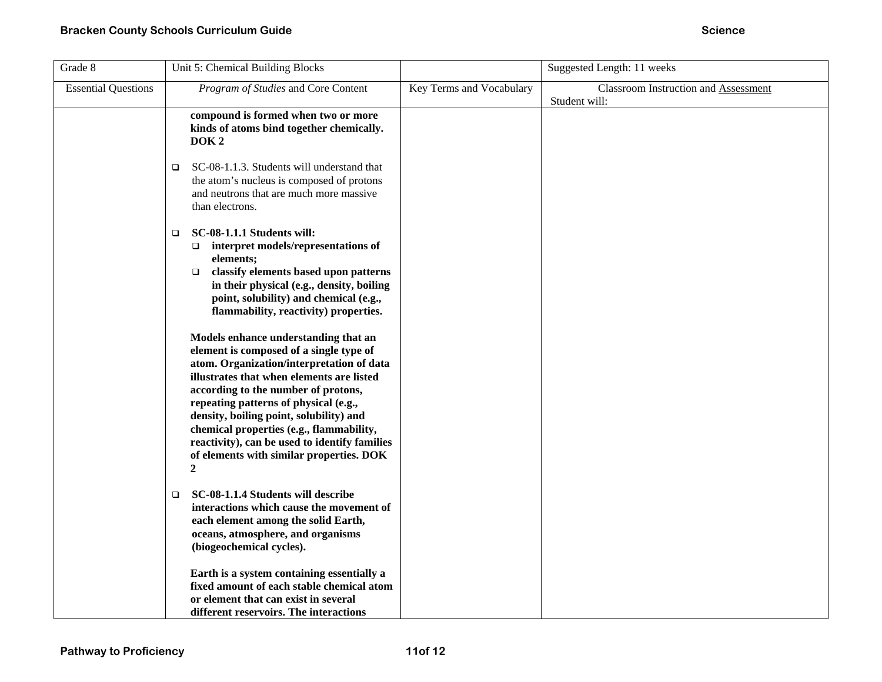| Grade 8                    | Unit 5: Chemical Building Blocks                                                                                                                                                                                                                                                                                                                                                                                                                                                                                                                                                                                                                                                                                                                    |                          | Suggested Length: 11 weeks                            |
|----------------------------|-----------------------------------------------------------------------------------------------------------------------------------------------------------------------------------------------------------------------------------------------------------------------------------------------------------------------------------------------------------------------------------------------------------------------------------------------------------------------------------------------------------------------------------------------------------------------------------------------------------------------------------------------------------------------------------------------------------------------------------------------------|--------------------------|-------------------------------------------------------|
| <b>Essential Questions</b> | Program of Studies and Core Content                                                                                                                                                                                                                                                                                                                                                                                                                                                                                                                                                                                                                                                                                                                 | Key Terms and Vocabulary | Classroom Instruction and Assessment<br>Student will: |
|                            | compound is formed when two or more<br>kinds of atoms bind together chemically.<br>DOK <sub>2</sub>                                                                                                                                                                                                                                                                                                                                                                                                                                                                                                                                                                                                                                                 |                          |                                                       |
|                            | SC-08-1.1.3. Students will understand that<br>$\Box$<br>the atom's nucleus is composed of protons<br>and neutrons that are much more massive<br>than electrons.                                                                                                                                                                                                                                                                                                                                                                                                                                                                                                                                                                                     |                          |                                                       |
|                            | SC-08-1.1.1 Students will:<br>$\Box$<br>$\Box$ interpret models/representations of<br>elements;<br>classify elements based upon patterns<br>$\Box$<br>in their physical (e.g., density, boiling<br>point, solubility) and chemical (e.g.,<br>flammability, reactivity) properties.<br>Models enhance understanding that an<br>element is composed of a single type of<br>atom. Organization/interpretation of data<br>illustrates that when elements are listed<br>according to the number of protons,<br>repeating patterns of physical (e.g.,<br>density, boiling point, solubility) and<br>chemical properties (e.g., flammability,<br>reactivity), can be used to identify families<br>of elements with similar properties. DOK<br>$\mathbf{2}$ |                          |                                                       |
|                            | SC-08-1.1.4 Students will describe<br>$\Box$<br>interactions which cause the movement of<br>each element among the solid Earth,<br>oceans, atmosphere, and organisms<br>(biogeochemical cycles).                                                                                                                                                                                                                                                                                                                                                                                                                                                                                                                                                    |                          |                                                       |
|                            | Earth is a system containing essentially a<br>fixed amount of each stable chemical atom<br>or element that can exist in several<br>different reservoirs. The interactions                                                                                                                                                                                                                                                                                                                                                                                                                                                                                                                                                                           |                          |                                                       |